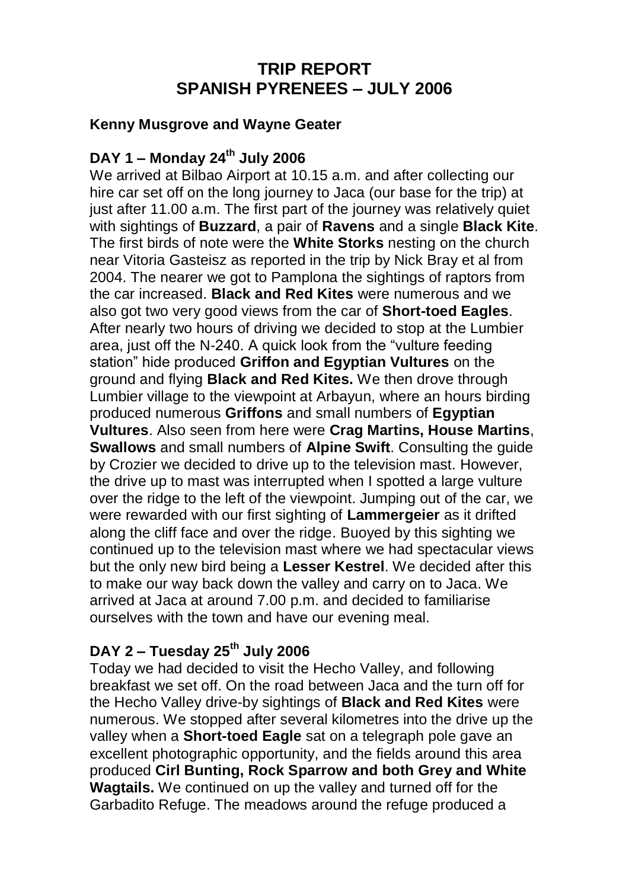# **TRIP REPORT SPANISH PYRENEES – JULY 2006**

### **Kenny Musgrove and Wayne Geater**

### **DAY 1 – Monday 24th July 2006**

We arrived at Bilbao Airport at 10.15 a.m. and after collecting our hire car set off on the long journey to Jaca (our base for the trip) at just after 11.00 a.m. The first part of the journey was relatively quiet with sightings of **Buzzard**, a pair of **Ravens** and a single **Black Kite**. The first birds of note were the **White Storks** nesting on the church near Vitoria Gasteisz as reported in the trip by Nick Bray et al from 2004. The nearer we got to Pamplona the sightings of raptors from the car increased. **Black and Red Kites** were numerous and we also got two very good views from the car of **Short-toed Eagles**. After nearly two hours of driving we decided to stop at the Lumbier area, just off the N-240. A quick look from the "vulture feeding station" hide produced **Griffon and Egyptian Vultures** on the ground and flying **Black and Red Kites.** We then drove through Lumbier village to the viewpoint at Arbayun, where an hours birding produced numerous **Griffons** and small numbers of **Egyptian Vultures**. Also seen from here were **Crag Martins, House Martins**, **Swallows** and small numbers of **Alpine Swift**. Consulting the guide by Crozier we decided to drive up to the television mast. However, the drive up to mast was interrupted when I spotted a large vulture over the ridge to the left of the viewpoint. Jumping out of the car, we were rewarded with our first sighting of **Lammergeier** as it drifted along the cliff face and over the ridge. Buoyed by this sighting we continued up to the television mast where we had spectacular views but the only new bird being a **Lesser Kestrel**. We decided after this to make our way back down the valley and carry on to Jaca. We arrived at Jaca at around 7.00 p.m. and decided to familiarise ourselves with the town and have our evening meal.

## **DAY 2 – Tuesday 25th July 2006**

Today we had decided to visit the Hecho Valley, and following breakfast we set off. On the road between Jaca and the turn off for the Hecho Valley drive-by sightings of **Black and Red Kites** were numerous. We stopped after several kilometres into the drive up the valley when a **Short-toed Eagle** sat on a telegraph pole gave an excellent photographic opportunity, and the fields around this area produced **Cirl Bunting, Rock Sparrow and both Grey and White Wagtails.** We continued on up the valley and turned off for the Garbadito Refuge. The meadows around the refuge produced a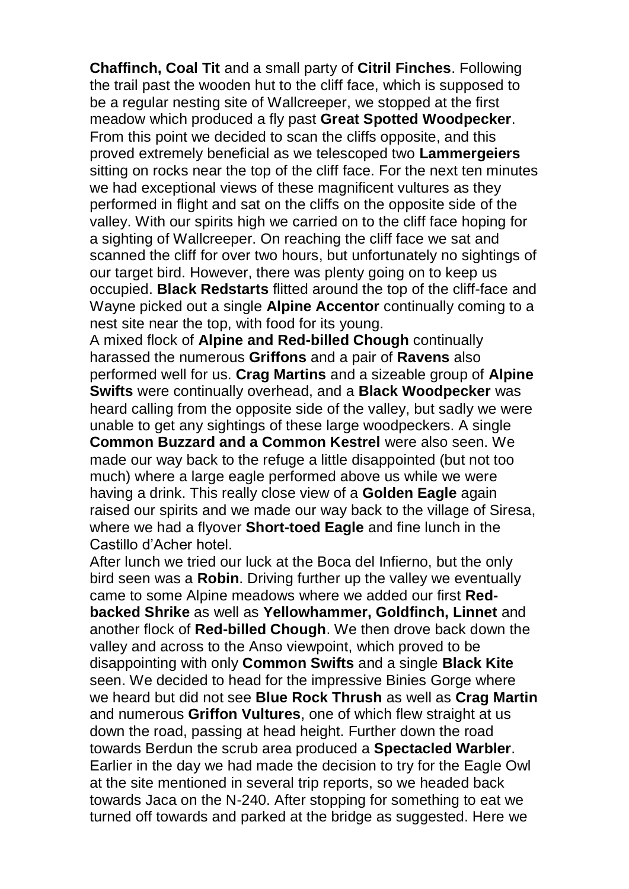**Chaffinch, Coal Tit** and a small party of **Citril Finches**. Following the trail past the wooden hut to the cliff face, which is supposed to be a regular nesting site of Wallcreeper, we stopped at the first meadow which produced a fly past **Great Spotted Woodpecker**. From this point we decided to scan the cliffs opposite, and this proved extremely beneficial as we telescoped two **Lammergeiers** sitting on rocks near the top of the cliff face. For the next ten minutes we had exceptional views of these magnificent vultures as they performed in flight and sat on the cliffs on the opposite side of the valley. With our spirits high we carried on to the cliff face hoping for a sighting of Wallcreeper. On reaching the cliff face we sat and scanned the cliff for over two hours, but unfortunately no sightings of our target bird. However, there was plenty going on to keep us occupied. **Black Redstarts** flitted around the top of the cliff-face and Wayne picked out a single **Alpine Accentor** continually coming to a nest site near the top, with food for its young.

A mixed flock of **Alpine and Red-billed Chough** continually harassed the numerous **Griffons** and a pair of **Ravens** also performed well for us. **Crag Martins** and a sizeable group of **Alpine Swifts** were continually overhead, and a **Black Woodpecker** was heard calling from the opposite side of the valley, but sadly we were unable to get any sightings of these large woodpeckers. A single **Common Buzzard and a Common Kestrel** were also seen. We made our way back to the refuge a little disappointed (but not too much) where a large eagle performed above us while we were having a drink. This really close view of a **Golden Eagle** again raised our spirits and we made our way back to the village of Siresa, where we had a flyover **Short-toed Eagle** and fine lunch in the Castillo d'Acher hotel.

After lunch we tried our luck at the Boca del Infierno, but the only bird seen was a **Robin**. Driving further up the valley we eventually came to some Alpine meadows where we added our first **Redbacked Shrike** as well as **Yellowhammer, Goldfinch, Linnet** and another flock of **Red-billed Chough**. We then drove back down the valley and across to the Anso viewpoint, which proved to be disappointing with only **Common Swifts** and a single **Black Kite** seen. We decided to head for the impressive Binies Gorge where we heard but did not see **Blue Rock Thrush** as well as **Crag Martin** and numerous **Griffon Vultures**, one of which flew straight at us down the road, passing at head height. Further down the road towards Berdun the scrub area produced a **Spectacled Warbler**. Earlier in the day we had made the decision to try for the Eagle Owl at the site mentioned in several trip reports, so we headed back towards Jaca on the N-240. After stopping for something to eat we turned off towards and parked at the bridge as suggested. Here we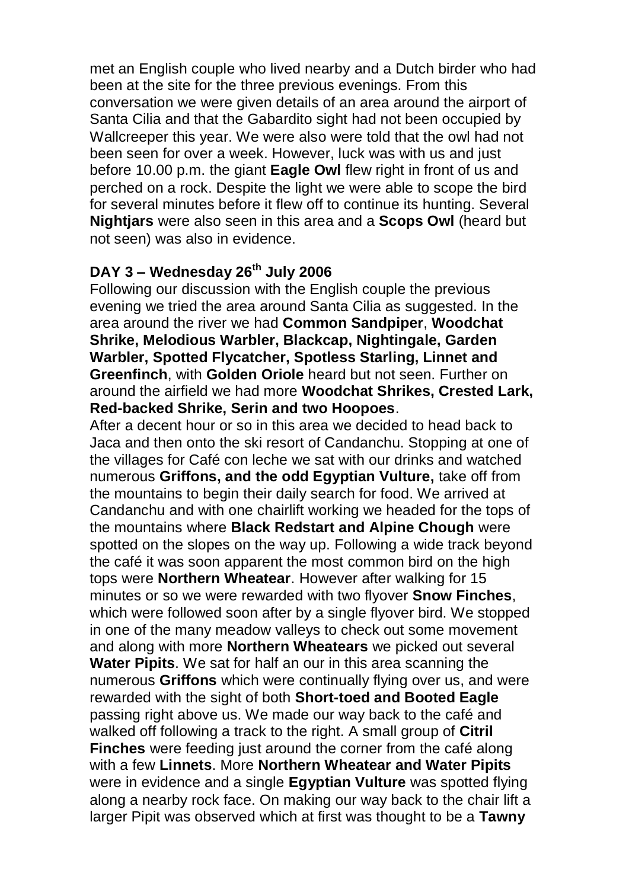met an English couple who lived nearby and a Dutch birder who had been at the site for the three previous evenings. From this conversation we were given details of an area around the airport of Santa Cilia and that the Gabardito sight had not been occupied by Wallcreeper this year. We were also were told that the owl had not been seen for over a week. However, luck was with us and just before 10.00 p.m. the giant **Eagle Owl** flew right in front of us and perched on a rock. Despite the light we were able to scope the bird for several minutes before it flew off to continue its hunting. Several **Nightjars** were also seen in this area and a **Scops Owl** (heard but not seen) was also in evidence.

#### **DAY 3 – Wednesday 26th July 2006**

Following our discussion with the English couple the previous evening we tried the area around Santa Cilia as suggested. In the area around the river we had **Common Sandpiper**, **Woodchat Shrike, Melodious Warbler, Blackcap, Nightingale, Garden Warbler, Spotted Flycatcher, Spotless Starling, Linnet and Greenfinch**, with **Golden Oriole** heard but not seen. Further on around the airfield we had more **Woodchat Shrikes, Crested Lark, Red-backed Shrike, Serin and two Hoopoes**.

After a decent hour or so in this area we decided to head back to Jaca and then onto the ski resort of Candanchu. Stopping at one of the villages for Café con leche we sat with our drinks and watched numerous **Griffons, and the odd Egyptian Vulture,** take off from the mountains to begin their daily search for food. We arrived at Candanchu and with one chairlift working we headed for the tops of the mountains where **Black Redstart and Alpine Chough** were spotted on the slopes on the way up. Following a wide track beyond the café it was soon apparent the most common bird on the high tops were **Northern Wheatear**. However after walking for 15 minutes or so we were rewarded with two flyover **Snow Finches**, which were followed soon after by a single flyover bird. We stopped in one of the many meadow valleys to check out some movement and along with more **Northern Wheatears** we picked out several **Water Pipits**. We sat for half an our in this area scanning the numerous **Griffons** which were continually flying over us, and were rewarded with the sight of both **Short-toed and Booted Eagle** passing right above us. We made our way back to the café and walked off following a track to the right. A small group of **Citril Finches** were feeding just around the corner from the café along with a few **Linnets**. More **Northern Wheatear and Water Pipits** were in evidence and a single **Egyptian Vulture** was spotted flying along a nearby rock face. On making our way back to the chair lift a larger Pipit was observed which at first was thought to be a **Tawny**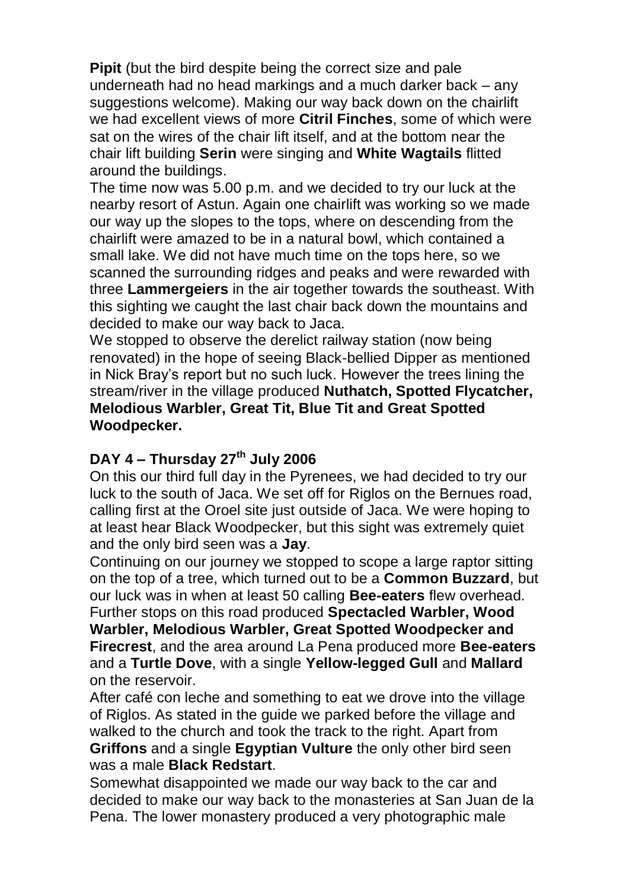**Pipit** (but the bird despite being the correct size and pale underneath had no head markings and a much darker back – any suggestions welcome). Making our way back down on the chairlift we had excellent views of more **Citril Finches**, some of which were sat on the wires of the chair lift itself, and at the bottom near the chair lift building **Serin** were singing and **White Wagtails** flitted around the buildings.

The time now was 5.00 p.m. and we decided to try our luck at the nearby resort of Astun. Again one chairlift was working so we made our way up the slopes to the tops, where on descending from the chairlift were amazed to be in a natural bowl, which contained a small lake. We did not have much time on the tops here, so we scanned the surrounding ridges and peaks and were rewarded with three **Lammergeiers** in the air together towards the southeast. With this sighting we caught the last chair back down the mountains and decided to make our way back to Jaca.

We stopped to observe the derelict railway station (now being) renovated) in the hope of seeing Black-bellied Dipper as mentioned in Nick Bray's report but no such luck. However the trees lining the stream/river in the village produced **Nuthatch, Spotted Flycatcher, Melodious Warbler, Great Tit, Blue Tit and Great Spotted Woodpecker.**

### **DAY 4 – Thursday 27th July 2006**

On this our third full day in the Pyrenees, we had decided to try our luck to the south of Jaca. We set off for Riglos on the Bernues road, calling first at the Oroel site just outside of Jaca. We were hoping to at least hear Black Woodpecker, but this sight was extremely quiet and the only bird seen was a **Jay**.

Continuing on our journey we stopped to scope a large raptor sitting on the top of a tree, which turned out to be a **Common Buzzard**, but our luck was in when at least 50 calling **Bee-eaters** flew overhead. Further stops on this road produced **Spectacled Warbler, Wood Warbler, Melodious Warbler, Great Spotted Woodpecker and Firecrest**, and the area around La Pena produced more **Bee-eaters** and a **Turtle Dove**, with a single **Yellow-legged Gull** and **Mallard** on the reservoir.

After café con leche and something to eat we drove into the village of Riglos. As stated in the guide we parked before the village and walked to the church and took the track to the right. Apart from **Griffons** and a single **Egyptian Vulture** the only other bird seen was a male **Black Redstart**.

Somewhat disappointed we made our way back to the car and decided to make our way back to the monasteries at San Juan de la Pena. The lower monastery produced a very photographic male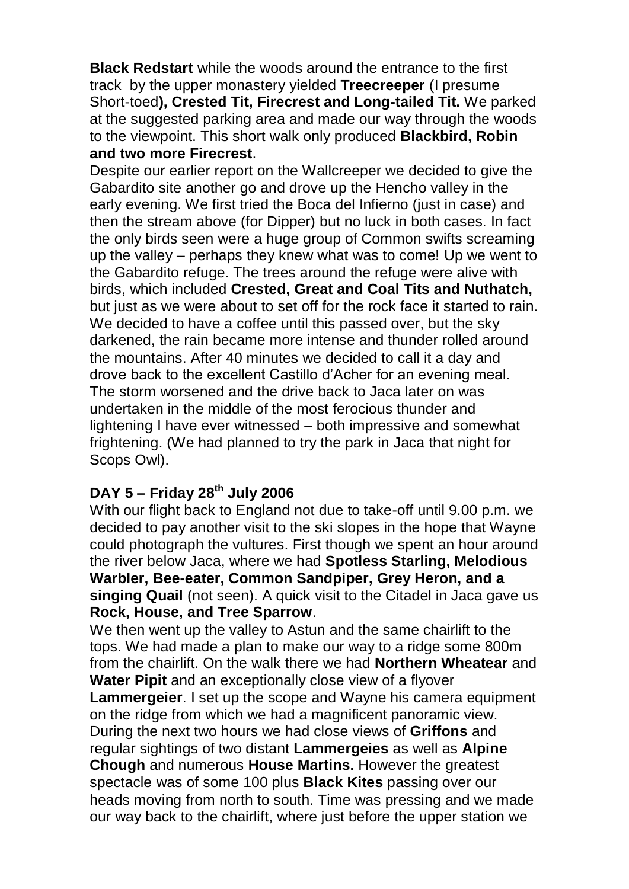**Black Redstart** while the woods around the entrance to the first track by the upper monastery yielded **Treecreeper** (I presume Short-toed**), Crested Tit, Firecrest and Long-tailed Tit.** We parked at the suggested parking area and made our way through the woods to the viewpoint. This short walk only produced **Blackbird, Robin and two more Firecrest**.

Despite our earlier report on the Wallcreeper we decided to give the Gabardito site another go and drove up the Hencho valley in the early evening. We first tried the Boca del Infierno (just in case) and then the stream above (for Dipper) but no luck in both cases. In fact the only birds seen were a huge group of Common swifts screaming up the valley – perhaps they knew what was to come! Up we went to the Gabardito refuge. The trees around the refuge were alive with birds, which included **Crested, Great and Coal Tits and Nuthatch,** but just as we were about to set off for the rock face it started to rain. We decided to have a coffee until this passed over, but the sky darkened, the rain became more intense and thunder rolled around the mountains. After 40 minutes we decided to call it a day and drove back to the excellent Castillo d'Acher for an evening meal. The storm worsened and the drive back to Jaca later on was undertaken in the middle of the most ferocious thunder and lightening I have ever witnessed – both impressive and somewhat frightening. (We had planned to try the park in Jaca that night for Scops Owl).

# **DAY 5 – Friday 28th July 2006**

With our flight back to England not due to take-off until 9.00 p.m. we decided to pay another visit to the ski slopes in the hope that Wayne could photograph the vultures. First though we spent an hour around the river below Jaca, where we had **Spotless Starling, Melodious Warbler, Bee-eater, Common Sandpiper, Grey Heron, and a singing Quail** (not seen). A quick visit to the Citadel in Jaca gave us **Rock, House, and Tree Sparrow**.

We then went up the valley to Astun and the same chairlift to the tops. We had made a plan to make our way to a ridge some 800m from the chairlift. On the walk there we had **Northern Wheatear** and **Water Pipit** and an exceptionally close view of a flyover **Lammergeier**. I set up the scope and Wayne his camera equipment on the ridge from which we had a magnificent panoramic view. During the next two hours we had close views of **Griffons** and regular sightings of two distant **Lammergeies** as well as **Alpine Chough** and numerous **House Martins.** However the greatest spectacle was of some 100 plus **Black Kites** passing over our heads moving from north to south. Time was pressing and we made our way back to the chairlift, where just before the upper station we